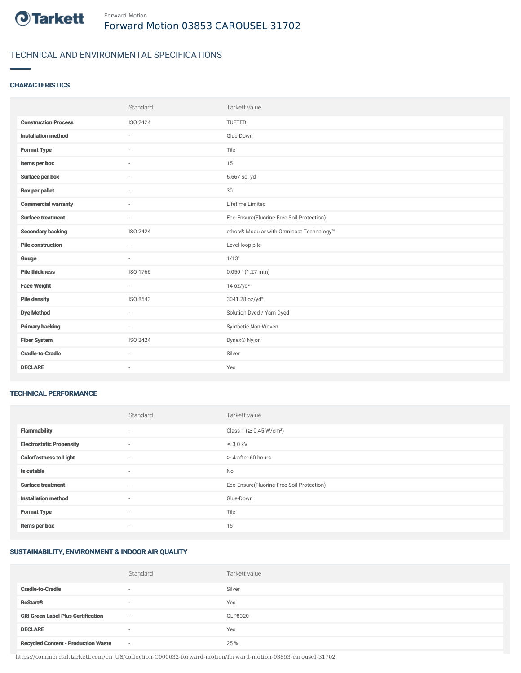

## TECHNICAL AND ENVIRONMENTAL SPECIFICATIONS

#### **CHARACTERISTICS**

|                             | Standard                 | Tarkett value                             |
|-----------------------------|--------------------------|-------------------------------------------|
| <b>Construction Process</b> | ISO 2424                 | TUFTED                                    |
| <b>Installation method</b>  |                          | Glue-Down                                 |
| <b>Format Type</b>          |                          | Tile                                      |
| Items per box               |                          | 15                                        |
| Surface per box             | $\sim$                   | 6.667 sq. yd                              |
| <b>Box per pallet</b>       | $\sim$                   | 30                                        |
| <b>Commercial warranty</b>  | ×.                       | Lifetime Limited                          |
| <b>Surface treatment</b>    | $\sim$                   | Eco-Ensure(Fluorine-Free Soil Protection) |
| <b>Secondary backing</b>    | ISO 2424                 | ethos® Modular with Omnicoat Technology™  |
| <b>Pile construction</b>    |                          | Level loop pile                           |
| Gauge                       | $\overline{\phantom{a}}$ | 1/13"                                     |
| <b>Pile thickness</b>       | ISO 1766                 | $0.050$ " (1.27 mm)                       |
| <b>Face Weight</b>          | $\sim$                   | 14 oz/yd <sup>2</sup>                     |
| <b>Pile density</b>         | ISO 8543                 | 3041.28 oz/yd <sup>3</sup>                |
| <b>Dye Method</b>           | $\sim$                   | Solution Dyed / Yarn Dyed                 |
| <b>Primary backing</b>      | $\sim$                   | Synthetic Non-Woven                       |
| <b>Fiber System</b>         | ISO 2424                 | Dynex® Nylon                              |
| <b>Cradle-to-Cradle</b>     | ×.                       | Silver                                    |
| <b>DECLARE</b>              | $\sim$                   | Yes                                       |

#### TECHNICAL PERFORMANCE

|                                 | Standard                 | Tarkett value                             |
|---------------------------------|--------------------------|-------------------------------------------|
| <b>Flammability</b>             | ٠                        | Class 1 (≥ 0.45 W/cm <sup>2</sup> )       |
| <b>Electrostatic Propensity</b> | $\sim$                   | $\leq$ 3.0 kV                             |
| <b>Colorfastness to Light</b>   | ٠                        | $\geq 4$ after 60 hours                   |
| Is cutable                      | ٠                        | No                                        |
| <b>Surface treatment</b>        | $\sim$                   | Eco-Ensure(Fluorine-Free Soil Protection) |
| <b>Installation method</b>      | ٠                        | Glue-Down                                 |
| <b>Format Type</b>              | ٠                        | Tile                                      |
| Items per box                   | $\overline{\phantom{a}}$ | 15                                        |

#### SUSTAINABILITY, ENVIRONMENT & INDOOR AIR QUALITY

|                                            | Standard                 | Tarkett value |
|--------------------------------------------|--------------------------|---------------|
| <b>Cradle-to-Cradle</b>                    | $\overline{\phantom{a}}$ | Silver        |
| <b>ReStart®</b>                            | $\overline{\phantom{a}}$ | Yes           |
| <b>CRI Green Label Plus Certification</b>  | $\sim$                   | GLP8320       |
| <b>DECLARE</b>                             | $\sim$                   | Yes           |
| <b>Recycled Content - Production Waste</b> | $\sim$                   | 25 %          |

https://commercial.tarkett.com/en\_US/collection-C000632-forward-motion/forward-motion-03853-carousel-31702